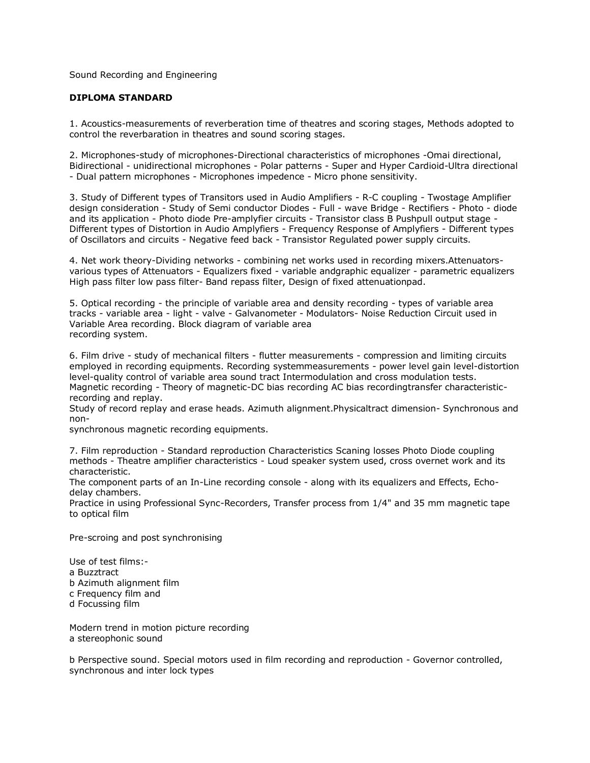Sound Recording and Engineering

## **DIPLOMA STANDARD**

1. Acoustics-measurements of reverberation time of theatres and scoring stages, Methods adopted to control the reverbaration in theatres and sound scoring stages.

2. Microphones-study of microphones-Directional characteristics of microphones -Omai directional, Bidirectional - unidirectional microphones - Polar patterns - Super and Hyper Cardioid-Ultra directional - Dual pattern microphones - Microphones impedence - Micro phone sensitivity.

3. Study of Different types of Transitors used in Audio Amplifiers - R-C coupling - Twostage Amplifier design consideration - Study of Semi conductor Diodes - Full - wave Bridge - Rectifiers - Photo - diode and its application - Photo diode Pre-amplyfier circuits - Transistor class B Pushpull output stage - Different types of Distortion in Audio Amplyfiers - Frequency Response of Amplyfiers - Different types of Oscillators and circuits - Negative feed back - Transistor Regulated power supply circuits.

4. Net work theory-Dividing networks - combining net works used in recording mixers.Attenuatorsvarious types of Attenuators - Equalizers fixed - variable andgraphic equalizer - parametric equalizers High pass filter low pass filter- Band repass filter, Design of fixed attenuationpad.

5. Optical recording - the principle of variable area and density recording - types of variable area tracks - variable area - light - valve - Galvanometer - Modulators- Noise Reduction Circuit used in Variable Area recording. Block diagram of variable area recording system.

6. Film drive - study of mechanical filters - flutter measurements - compression and limiting circuits employed in recording equipments. Recording systemmeasurements - power level gain level-distortion level-quality control of variable area sound tract Intermodulation and cross modulation tests. Magnetic recording - Theory of magnetic-DC bias recording AC bias recordingtransfer characteristicrecording and replay.

Study of record replay and erase heads. Azimuth alignment.Physicaltract dimension- Synchronous and non-

synchronous magnetic recording equipments.

7. Film reproduction - Standard reproduction Characteristics Scaning losses Photo Diode coupling methods - Theatre amplifier characteristics - Loud speaker system used, cross overnet work and its characteristic.

The component parts of an In-Line recording console - along with its equalizers and Effects, Echodelay chambers.

Practice in using Professional Sync-Recorders, Transfer process from 1/4" and 35 mm magnetic tape to optical film

Pre-scroing and post synchronising

Use of test films: a Buzztract b Azimuth alignment film c Frequency film and d Focussing film

Modern trend in motion picture recording a stereophonic sound

b Perspective sound. Special motors used in film recording and reproduction - Governor controlled, synchronous and inter lock types